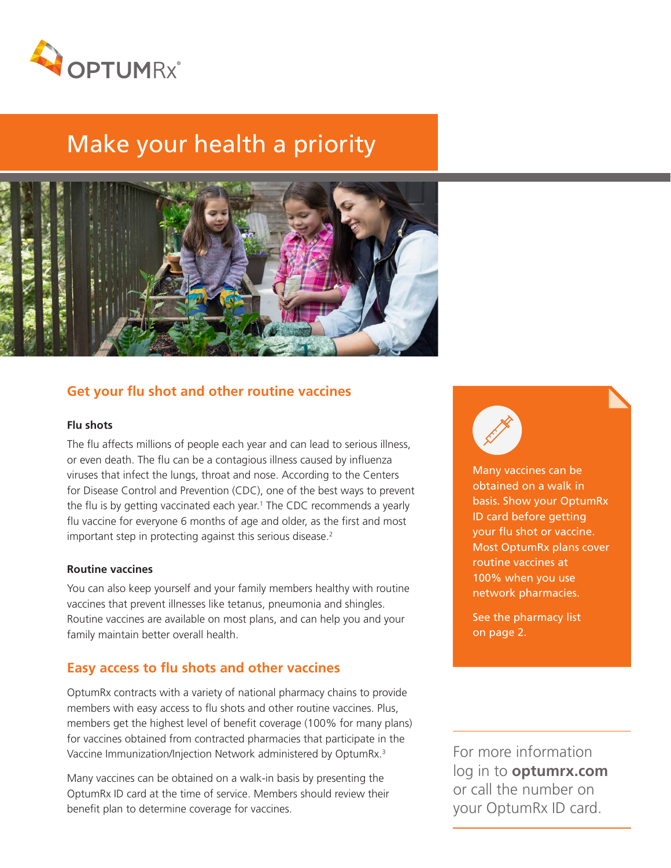

# Make your health a priority



## **Get your flu shot and other routine vaccines**

#### **Flu shots**

The flu affects millions of people each year and can lead to serious illness, or even death. The flu can be a contagious illness caused by influenza viruses that infect the lungs, throat and nose. According to the Centers for Disease Control and Prevention (CDC), one of the best ways to prevent the flu is by getting vaccinated each year.<sup>1</sup> The CDC recommends a yearly flu vaccine for everyone 6 months of age and older, as the first and most important step in protecting against this serious disease.<sup>2</sup>

#### **Routine vaccines**

You can also keep yourself and your family members healthy with routine vaccines that prevent illnesses like tetanus, pneumonia and shingles. Routine vaccines are available on most plans, and can help you and your family maintain better overall health.

## **Easy access to flu shots and other vaccines**

OptumRx contracts with a variety of national pharmacy chains to provide members with easy access to flu shots and other routine vaccines. Plus, members get the highest level of benefit coverage (100% for many plans) for vaccines obtained from contracted pharmacies that participate in the Vaccine Immunization/Injection Network administered by OptumRx.<sup>3</sup>

Many vaccines can be obtained on a walk-in basis by presenting the OptumRx ID card at the time of service. Members should review their benefit plan to determine coverage for vaccines.



Many vaccines can be obtained on a walk in basis. Show your OptumRx ID card before getting your flu shot or vaccine. Most OptumRx plans cover routine vaccines at 100% when you use network pharmacies.

See the pharmacy list on page 2.

For more information log in to **optumrx.com** or call the number on your OptumRx ID card.